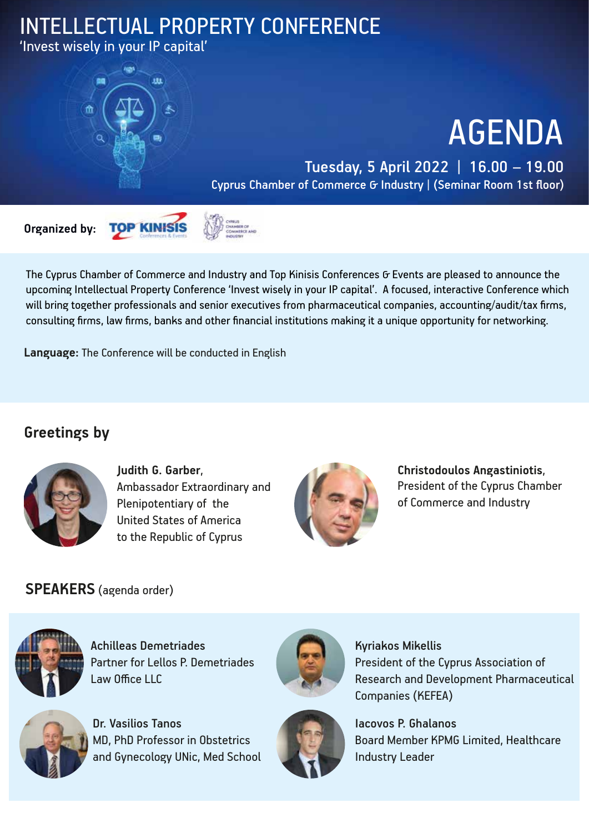## INTELLECTUAL PROPERTY CONFERENCE

'Invest wisely in your IP capital'



# AGENDA

#### Tuesday, 5 April 2022 | 16.00 – 19.00 Cyprus Chamber of Commerce & Industry | (Seminar Room 1st floor)





The Cyprus Chamber of Commerce and Industry and Top Kinisis Conferences G Events are pleased to announce the upcoming Intellectual Property Conference 'Invest wisely in your IP capital'. A focused, interactive Conference which will bring together professionals and senior executives from pharmaceutical companies, accounting/audit/tax firms, consulting firms, law firms, banks and other financial institutions making it a unique opportunity for networking.

**Language:** The Conference will be conducted in English

### **Greetings by**



**Judith G. Garber**, Ambassador Extraordinary and Plenipotentiary of the United States of America to the Republic of Cyprus



**Christodoulos Angastiniotis**, President of the Cyprus Chamber of Commerce and Industry

#### **SPEAKERS** (agenda order)



Achilleas Demetriades Partner for Lellos P. Demetriades Law Office LLC



Dr. Vasilios Tanos MD, PhD Professor in Obstetrics and Gynecology UNic, Med School



Kyriakos Mikellis President of the Cyprus Association of Research and Development Pharmaceutical Companies (KEFEA)



Iacovos P. Ghalanos Board Member KPMG Limited, Healthcare Industry Leader